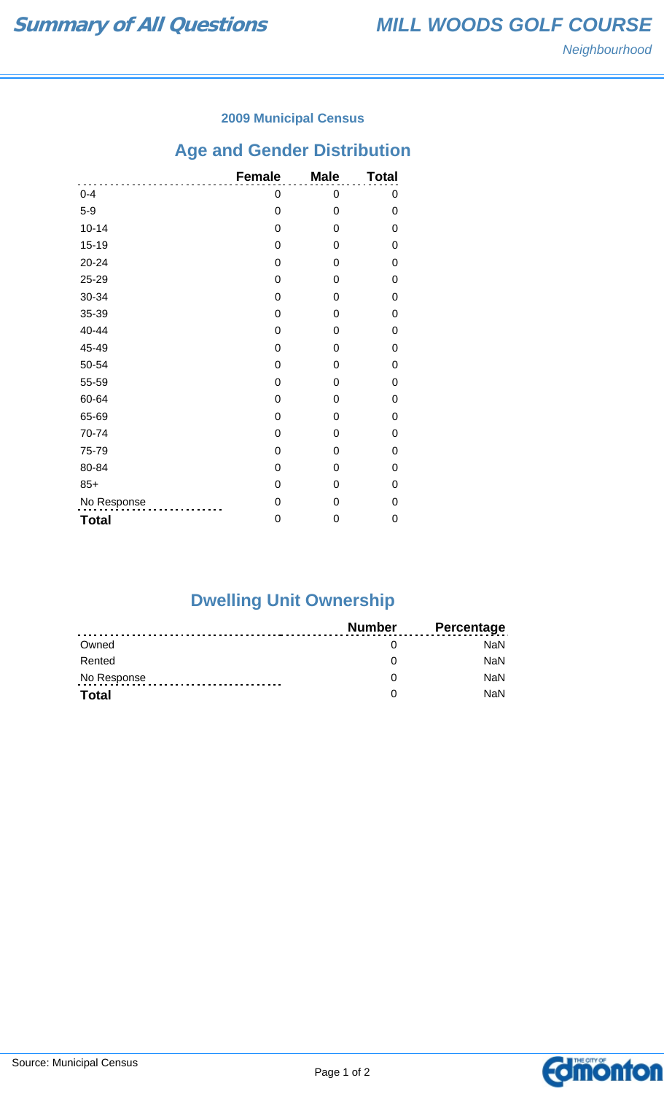### **2009 Municipal Census**

# **Age and Gender Distribution**

|              | <b>Female</b> | <b>Male</b> | <b>Total</b> |
|--------------|---------------|-------------|--------------|
| $0 - 4$      | 0             | 0           | 0            |
| $5-9$        | 0             | 0           | 0            |
| $10 - 14$    | 0             | 0           | 0            |
| $15 - 19$    | 0             | 0           | 0            |
| 20-24        | 0             | 0           | 0            |
| 25-29        | 0             | 0           | 0            |
| 30-34        | 0             | 0           | 0            |
| 35-39        | 0             | 0           | 0            |
| 40-44        | 0             | 0           | 0            |
| 45-49        | 0             | 0           | 0            |
| 50-54        | 0             | 0           | 0            |
| 55-59        | 0             | 0           | 0            |
| 60-64        | 0             | 0           | 0            |
| 65-69        | 0             | 0           | 0            |
| 70-74        | 0             | 0           | 0            |
| 75-79        | 0             | 0           | 0            |
| 80-84        | 0             | 0           | 0            |
| $85+$        | 0             | 0           | 0            |
| No Response  | 0             | 0           | 0            |
| <b>Total</b> | 0             | 0           | 0            |

# **Dwelling Unit Ownership**

|              | Number | <b>Percentage</b> |
|--------------|--------|-------------------|
| Owned        |        | NaN.              |
| Rented       |        | <b>NaN</b>        |
| No Response  |        | <b>NaN</b>        |
| <b>Total</b> |        | <b>NaN</b>        |